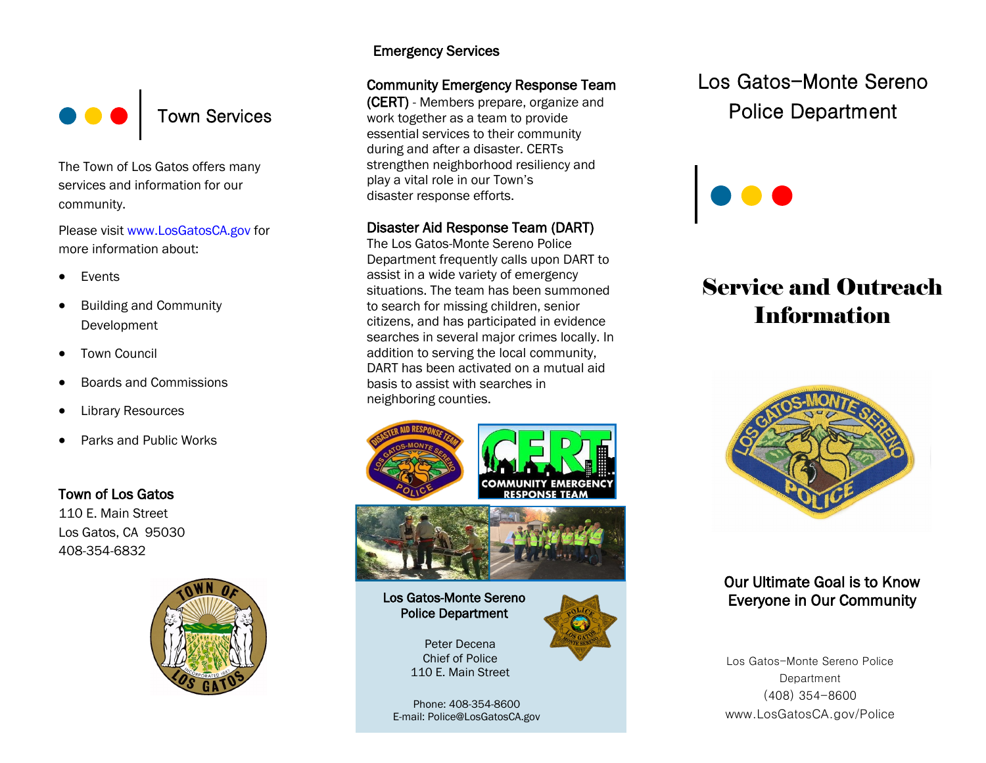

The Town of Los Gatos offers many services and information for our community.

Please visit www.LosGatosCA.gov for more information about:

- Events
- Building and Community Development
- Town Council
- Boards and Commissions
- Library Resources
- Parks and Public Works

### Town of Los Gatos

110 E. Main Street Los Gatos, CA 95030 408-354-6832



### Emergency Services

### Community Emergency Response Team

(CERT) - Members prepare, organize and work together as a team to provide essential services to their community during and after a disaster. CERTs strengthen neighborhood resiliency and play a vital role in our Town's disaster response efforts.

### Disaster Aid Response Team (DART)

The Los Gatos-Monte Sereno Police Department frequently calls upon DART to assist in a wide variety of emergency situations. The team has been summoned to search for missing children, senior citizens, and has participated in evidence searches in several major crimes locally. In addition to serving the local community, DART has been activated on a mutual aid basis to assist with searches in neighboring counties.







Los Gatos-Monte Sereno Police Department

> Peter Decena Chief of Police 110 E. Main Street



Phone: 408-354-8600 E-mail: Police@LosGatosCA.gov

# Los Gatos-Monte Sereno Police Department

# Service and Outreach **Information**



## Our Ultimate Goal is to Know Everyone in Our Community

Los Gatos-Monte Sereno Police Department (408) 354-8600 www.LosGatosCA.gov/Police